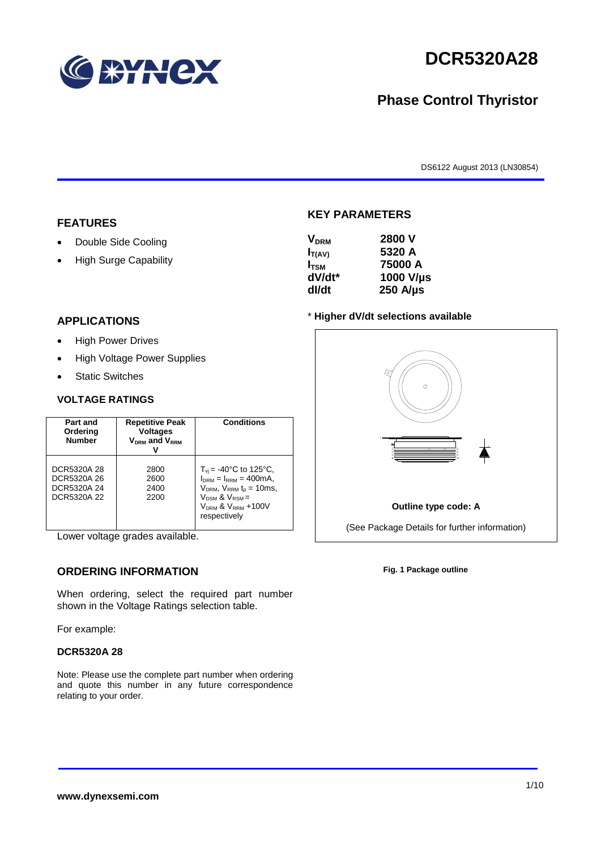

# **DCR5320A28**

# **Phase Control Thyristor**

DS6122 August 2013 (LN30854)

#### **FEATURES**

- Double Side Cooling
- High Surge Capability

#### **APPLICATIONS**

- High Power Drives
- High Voltage Power Supplies
- Static Switches

#### **VOLTAGE RATINGS**

| Part and<br>Ordering<br><b>Number</b>                    | <b>Repetitive Peak</b><br><b>Voltages</b><br>$V_{DRM}$ and $V_{RRM}$ | Conditions                                                                                                                                                                             |
|----------------------------------------------------------|----------------------------------------------------------------------|----------------------------------------------------------------------------------------------------------------------------------------------------------------------------------------|
| DCR5320A 28<br>DCR5320A 26<br>DCR5320A 24<br>DCR5320A 22 | 2800<br>2600<br>2400<br>2200                                         | $T_{vi}$ = -40°C to 125°C,<br>$I_{DRM} = I_{RRM} = 400 \text{mA}$ ,<br>$V_{DRM}$ , $V_{RRM}$ $t_{p}$ = 10ms,<br>$V_{DSM}$ & $V_{RSM}$ =<br>$V_{DRM}$ & $V_{RRM}$ +100V<br>respectively |

Lower voltage grades available.

## **ORDERING INFORMATION**

When ordering, select the required part number shown in the Voltage Ratings selection table.

For example:

#### **DCR5320A 28**

Note: Please use the complete part number when ordering and quote this number in any future correspondence relating to your order.



**KEY PARAMETERS**

#### \* **Higher dV/dt selections available**



**Fig. 1 Package outline**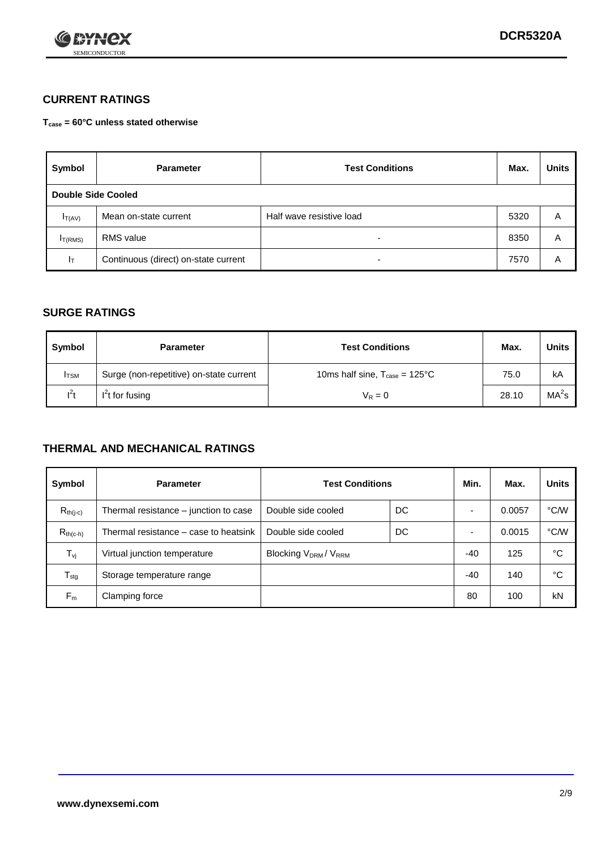

## **CURRENT RATINGS**

**Tcase = 60°C unless stated otherwise**

| Symbol             | <b>Parameter</b>                     | <b>Test Conditions</b>   | Max. | <b>Units</b> |
|--------------------|--------------------------------------|--------------------------|------|--------------|
| Double Side Cooled |                                      |                          |      |              |
| $I_{T(AV)}$        | Mean on-state current                | Half wave resistive load | 5320 | A            |
| $I_{T(RMS)}$       | RMS value                            | $\overline{\phantom{a}}$ | 8350 | Α            |
| Iτ                 | Continuous (direct) on-state current | $\overline{\phantom{a}}$ | 7570 | Α            |

### **SURGE RATINGS**

| Symbol       | <b>Parameter</b>                        | <b>Test Conditions</b>                           | Max.  | <b>Units</b>      |
|--------------|-----------------------------------------|--------------------------------------------------|-------|-------------------|
| <b>I</b> TSM | Surge (non-repetitive) on-state current | 10ms half sine, $T_{\text{case}} = 125^{\circ}C$ | 75.0  | kA                |
| $I^2t$       | $I2t$ for fusing                        | $V_R = 0$                                        | 28.10 | MA <sup>2</sup> S |

### **THERMAL AND MECHANICAL RATINGS**

| Symbol           | <b>Parameter</b>                      | <b>Test Conditions</b>                       |       | Min.  | Max.   | <b>Units</b> |
|------------------|---------------------------------------|----------------------------------------------|-------|-------|--------|--------------|
| $R_{th(j-c)}$    | Thermal resistance – junction to case | Double side cooled                           | DC    |       | 0.0057 | °C/W         |
| $R_{th(c-h)}$    | Thermal resistance – case to heatsink | Double side cooled                           | DC    |       | 0.0015 | °C/W         |
| $T_{\nu j}$      | Virtual junction temperature          | Blocking V <sub>DRM</sub> / V <sub>RRM</sub> |       | $-40$ | 125    | °C           |
| $T_{\text{stg}}$ | Storage temperature range             |                                              | $-40$ | 140   | °C     |              |
| $F_m$            | Clamping force                        |                                              |       | 80    | 100    | kN           |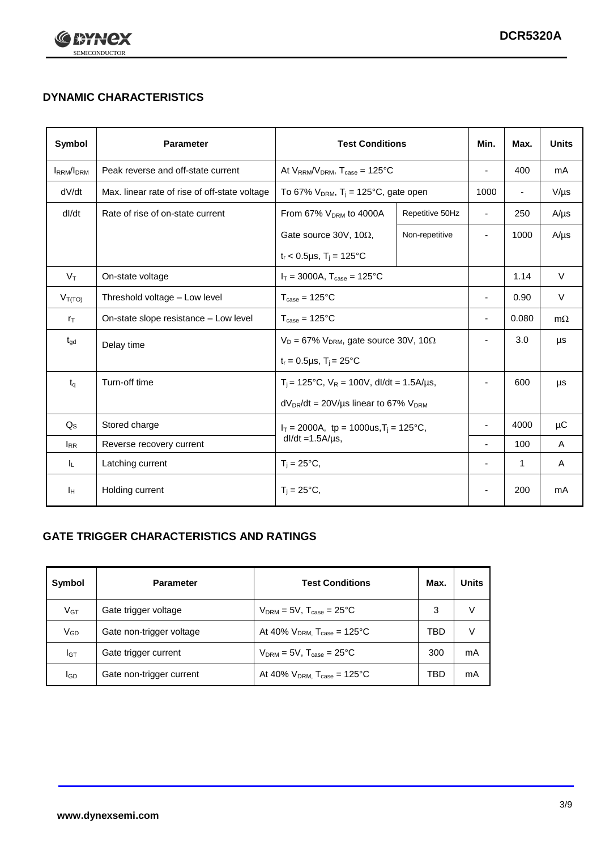

# **DYNAMIC CHARACTERISTICS**

| Symbol            | <b>Parameter</b>                                   | <b>Test Conditions</b>                                       |                 | Min.                     | Max.                     | <b>Units</b> |
|-------------------|----------------------------------------------------|--------------------------------------------------------------|-----------------|--------------------------|--------------------------|--------------|
| <b>IRRM</b> /IDRM | Peak reverse and off-state current                 | At $V_{RRM}/V_{DRM}$ , $T_{case} = 125^{\circ}C$             |                 | $\overline{a}$           | 400                      | mA           |
| dV/dt             | Max. linear rate of rise of off-state voltage      | To 67% $V_{DRM}$ , T <sub>i</sub> = 125°C, gate open         |                 | 1000                     | $\overline{\phantom{a}}$ | $V/\mu s$    |
| dl/dt             | Rate of rise of on-state current                   | From 67% V <sub>DRM</sub> to 4000A                           | Repetitive 50Hz | $\overline{\phantom{a}}$ | 250                      | $A/\mu s$    |
|                   |                                                    | Gate source 30V, 10 $\Omega$ ,                               | Non-repetitive  | ٠                        | 1000                     | $A/\mu s$    |
|                   |                                                    | $t_r$ < 0.5µs, $T_i$ = 125°C                                 |                 |                          |                          |              |
| $V_T$             | On-state voltage                                   | $I_T = 3000A$ , $T_{case} = 125^{\circ}C$                    |                 |                          | 1.14                     | $\vee$       |
| $V_{T(TO)}$       | Threshold voltage - Low level                      | $T_{\text{case}} = 125^{\circ}C$                             |                 | $\blacksquare$           | 0.90                     | $\vee$       |
| $r_{\text{T}}$    | On-state slope resistance - Low level              | $T_{\text{case}} = 125^{\circ}C$                             |                 | ÷,                       | 0.080                    | $m\Omega$    |
| $t_{\rm gd}$      | Delay time                                         | $V_D = 67\%$ V <sub>DRM</sub> , gate source 30V, 10 $\Omega$ |                 | ٠                        | 3.0                      | μs           |
|                   |                                                    | $t_r = 0.5 \mu s$ , $T_i = 25^{\circ}C$                      |                 |                          |                          |              |
| $t_q$             | Turn-off time                                      | $T_i$ = 125°C, $V_R$ = 100V, dl/dt = 1.5A/µs,                |                 | ٠                        | 600                      | μs           |
|                   |                                                    | $dV_{DR}/dt = 20 V/\mu s$ linear to 67% $V_{DRM}$            |                 |                          |                          |              |
| $Q_{\rm S}$       | Stored charge                                      | $I_T = 2000A$ , tp = 1000us, $T_i = 125$ °C,                 |                 |                          | 4000                     | $\mu$ C      |
| $I_{RR}$          | $dl/dt = 1.5A/\mu s$ ,<br>Reverse recovery current |                                                              |                 | 100                      | A                        |              |
| IL.               | Latching current                                   | $T_i = 25^{\circ}C$ ,                                        |                 | $\overline{\phantom{0}}$ | 1                        | Α            |
| ΙH                | Holding current                                    | $T_i = 25^{\circ}C,$                                         |                 |                          | 200                      | mA           |

## **GATE TRIGGER CHARACTERISTICS AND RATINGS**

| Symbol          | <b>Parameter</b>         | <b>Test Conditions</b>                       | Max. | Units |
|-----------------|--------------------------|----------------------------------------------|------|-------|
| V <sub>GT</sub> | Gate trigger voltage     | $V_{DRM}$ = 5V, $T_{case}$ = 25°C            | 3    | V     |
| $V_{GD}$        | Gate non-trigger voltage | At 40% $V_{DRM}$ , $T_{case}$ = 125°C        | TBD  |       |
| Iст             | Gate trigger current     | $V_{DRM}$ = 5V, $T_{case}$ = 25°C            | 300  | mA    |
| <b>I</b> GD     | Gate non-trigger current | At 40% $V_{DRM}$ , $T_{case} = 125^{\circ}C$ | TBD  | mA    |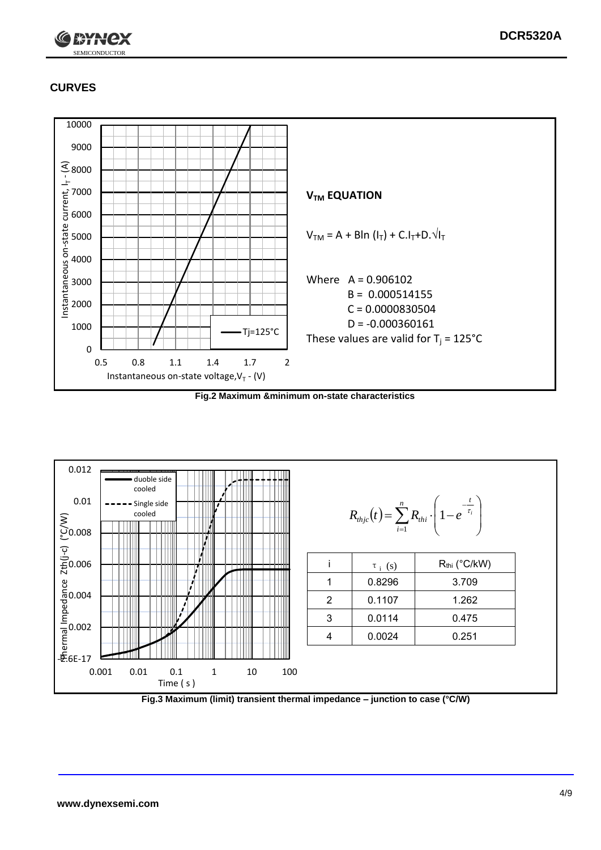

# **CURVES**



**Fig.2 Maximum &minimum on-state characteristics**



**Fig.3 Maximum (limit) transient thermal impedance – junction to case (°C/W)**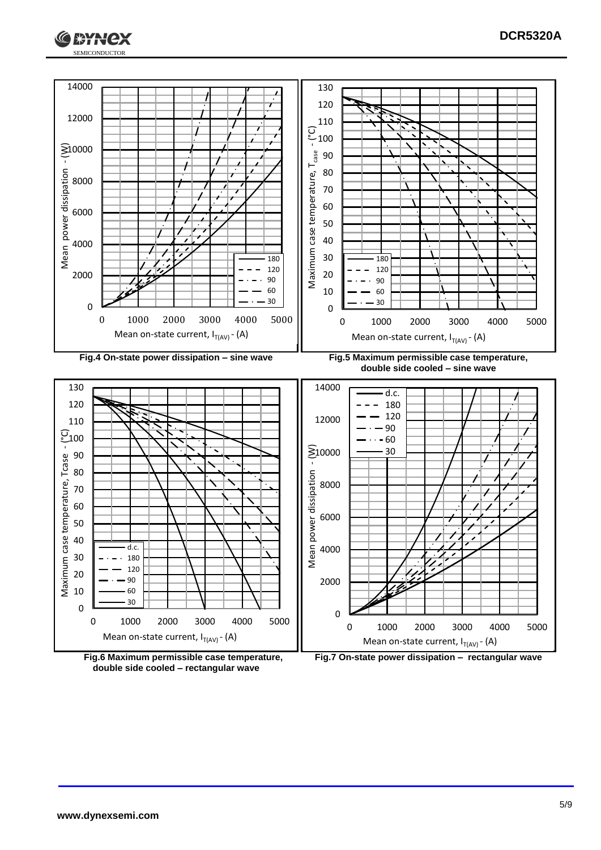



**double side cooled – rectangular wave**

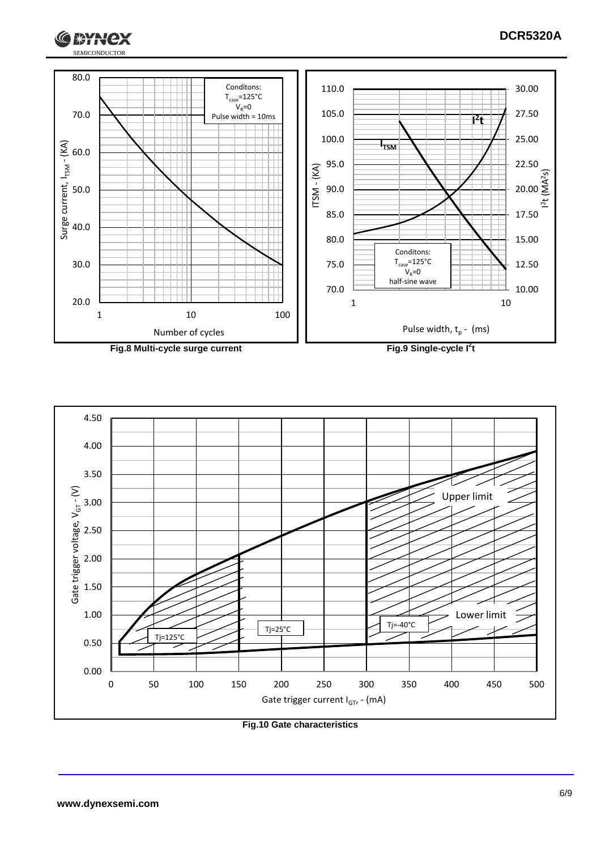$l<sup>2</sup>$ 

 $\widetilde{S}$ 



**Fig.8 Multi-cycle surge current Fig.9 Single-cycle I**

G

**I \*HNCX** 

**2 t**



**Fig.10 Gate characteristics**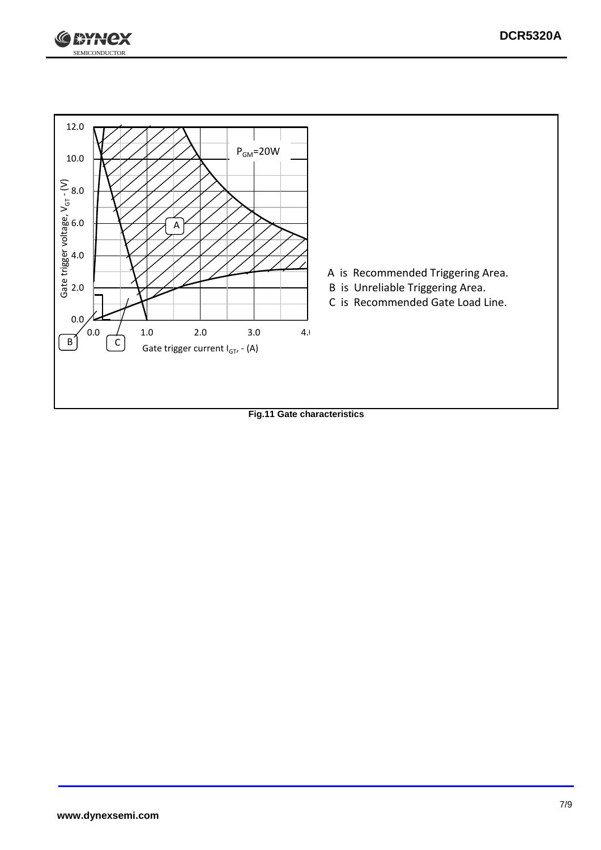



**Fig.11 Gate characteristics**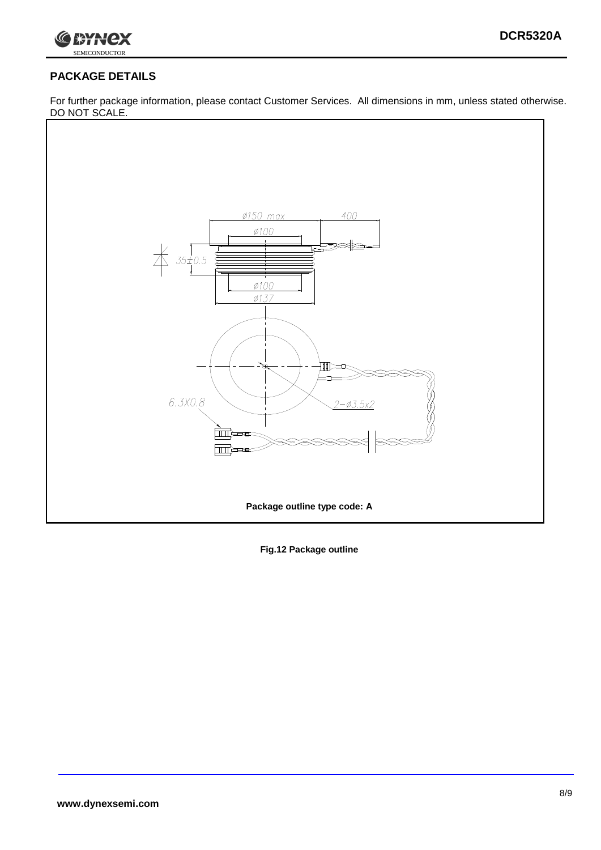

# **PACKAGE DETAILS**

For further package information, please contact Customer Services. All dimensions in mm, unless stated otherwise. DO NOT SCALE.



**Fig.12 Package outline**